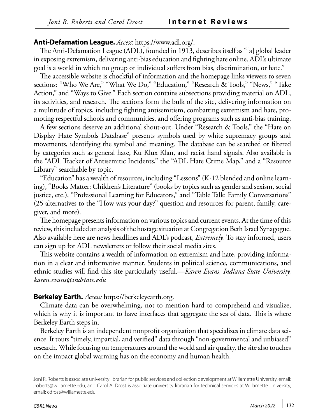## **Anti-Defamation League.** *Access:* [https://www.adl.org/.](https://www.adl.org/)

The Anti-Defamation League (ADL), founded in 1913, describes itself as "[a] global leader in exposing extremism, delivering anti-bias education and fighting hate online. ADL's ultimate goal is a world in which no group or individual suffers from bias, discrimination, or hate."

The accessible website is chockful of information and the homepage links viewers to seven sections: "Who We Are," "What We Do," "Education," "Research & Tools," "News," "Take Action," and "Ways to Give." Each section contains subsections providing material on ADL, its activities, and research. The sections form the bulk of the site, delivering information on a multitude of topics, including fighting antisemitism, combatting extremism and hate, promoting respectful schools and communities, and offering programs such as anti-bias training.

A few sections deserve an additional shout-out. Under "Research & Tools," the "Hate on Display Hate Symbols Database" presents symbols used by white supremacy groups and movements, identifying the symbol and meaning. The database can be searched or filtered by categories such as general hate, Ku Klux Klan, and racist hand signals. Also available is the "ADL Tracker of Antisemitic Incidents," the "ADL Hate Crime Map," and a "Resource Library" searchable by topic.

"Education" has a wealth of resources, including "Lessons" (K-12 blended and online learning), "Books Matter: Children's Literature" (books by topics such as gender and sexism, social justice, etc.), "Professional Learning for Educators," and "Table Talk: Family Conversations" (25 alternatives to the "How was your day?" question and resources for parent, family, caregiver, and more).

The homepage presents information on various topics and current events. At the time of this review, this included an analysis of the hostage situation at Congregation Beth Israel Synagogue. Also available here are news headlines and ADL's podcast, *Extremely.* To stay informed, users can sign up for ADL newsletters or follow their social media sites.

This website contains a wealth of information on extremism and hate, providing information in a clear and informative manner. Students in political science, communications, and ethnic studies will find this site particularly useful.—*Karen Evans, Indiana State University, [karen.evans@indstate.edu](mailto:karen.evans@indstate.edu)*

## **Berkeley Earth.** *Access:* [https://berkeleyearth.org.](https://berkeleyearth.org)

Climate data can be overwhelming, not to mention hard to comprehend and visualize, which is why it is important to have interfaces that aggregate the sea of data. This is where Berkeley Earth steps in.

Berkeley Earth is an independent nonprofit organization that specializes in climate data science. It touts "timely, impartial, and verified" data through "non-governmental and unbiased" research. While focusing on temperatures around the world and air quality, the site also touches on the impact global warming has on the economy and human health.

Joni R. Roberts is associate university librarian for public services and collection development at Willamette University, email: [jroberts@willamette.edu](mailto:jroberts%40willamette.edu?subject=), and Carol A. Drost is associate university librarian for technical services at Willamette University, email: [cdrost@willamette.edu](mailto:cdrost%40willamette.edu?subject=)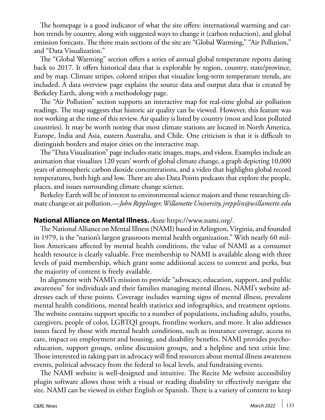The homepage is a good indicator of what the site offers: international warming and carbon trends by country, along with suggested ways to change it (carbon reduction), and global emission forecasts. The three main sections of the site are "Global Warming," "Air Pollution," and "Data Visualization."

The "Global Warming" section offers a series of annual global temperature reports dating back to 2017. It offers historical data that is explorable by region, country, state/province, and by map. Climate stripes, colored stripes that visualize long-term temperature trends, are included. A data overview page explains the source data and output data that is created by Berkeley Earth, along with a methodology page.

The "Air Pollution" section supports an interactive map for real-time global air pollution readings. The map suggests that historic air quality can be viewed. However, this feature was not working at the time of this review. Air quality is listed by country (most and least polluted countries). It may be worth noting that most climate stations are located in North America, Europe, India and Asia, eastern Australia, and Chile. One criticism is that it is difficult to distinguish borders and major cities on the interactive map.

The "Data Visualization" page includes static images, maps, and videos. Examples include an animation that visualizes 120 years' worth of global climate change, a graph depicting 10,000 years of atmospheric carbon dioxide concentrations, and a video that highlights global record temperatures, both high and low. There are also Data Points podcasts that explore the people, places, and issues surrounding climate change science.

Berkeley Earth will be of interest to environmental science majors and those researching climate change or air pollution.—*John Repplinger, Willamette University, [jrepplin@willamette.edu](mailto:jrepplin@willamette.edu)* 

## **National Alliance on Mental Illness.** *Access:* <https://www.nami.org/>.

The National Alliance on Mental Illness (NAMI) based in Arlington, Virginia, and founded in 1979, is the "nation's largest grassroots mental health organization." With nearly 60 million Americans affected by mental health conditions, the value of NAMI as a consumer health resource is clearly valuable. Free membership to NAMI is available along with three levels of paid membership, which grant some additional access to content and perks, but the majority of content is freely available.

In alignment with NAMI's mission to provide "advocacy, education, support, and public awareness" for individuals and their families managing mental illness, NAMI's website addresses each of these points. Coverage includes warning signs of mental illness, prevalent mental health conditions, mental health statistics and infographics, and treatment options. The website contains support specific to a number of populations, including adults, youths, caregivers, people of color, LGBTQI groups, frontline workers, and more. It also addresses issues faced by those with mental health conditions, such as insurance coverage, access to care, impact on employment and housing, and disability benefits. NAMI provides psychoeducation, support groups, online discussion groups, and a helpline and text crisis line. Those interested in taking part in advocacy will find resources about mental illness awareness events, political advocacy from the federal to local levels, and fundraising events.

The NAMI website is well-designed and intuitive. The Recite Me website accessibility plugin software allows those with a visual or reading disability to effectively navigate the site. NAMI can be viewed in either English or Spanish. There is a variety of content to keep